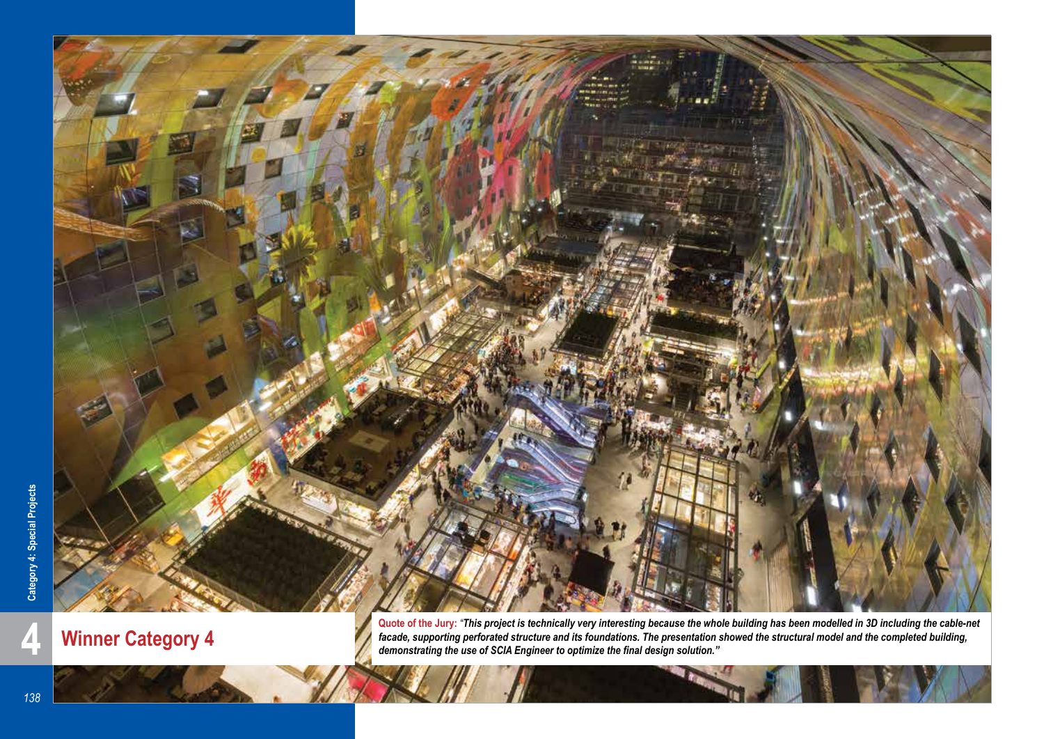

**Winner Category 4**

Quote of the Jury: *"This project is technically very interesting because the whole building has been modelled in 3D including the cable-net facade, supporting perforated structure and its foundations. The presentation sho facade, supporting perforated structure and its foundations. The presentation showed the structural model and the completed building, demonstrating the use of SCIA Engineer to optimize the final design solution."*